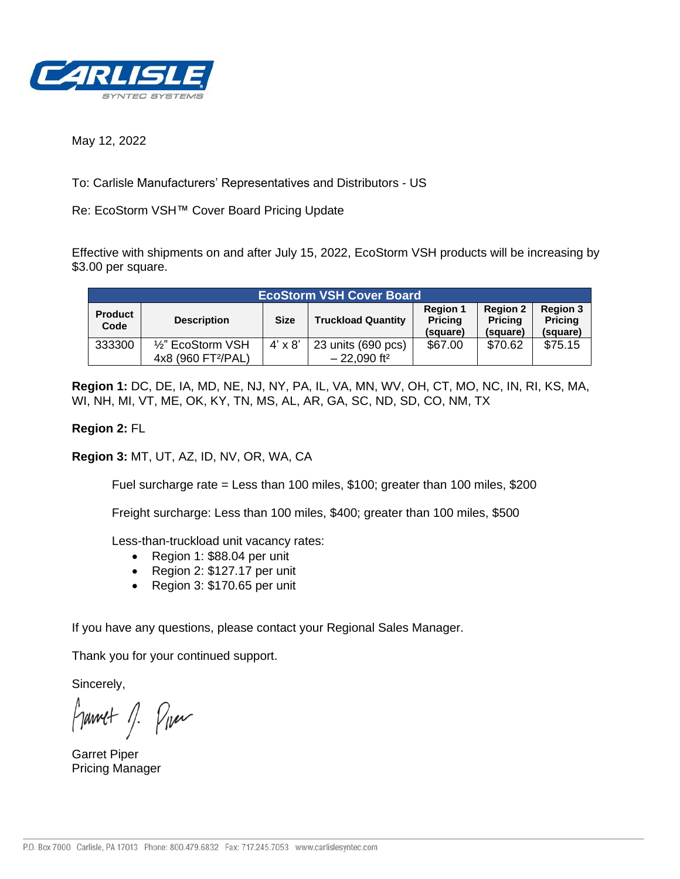

May 12, 2022

To: Carlisle Manufacturers' Representatives and Distributors - US

Re: EcoStorm VSH™ Cover Board Pricing Update

Effective with shipments on and after July 15, 2022, EcoStorm VSH products will be increasing by \$3.00 per square.

| <b>EcoStorm VSH Cover Board</b> |                                |                |                           |                                               |                                               |                                               |  |
|---------------------------------|--------------------------------|----------------|---------------------------|-----------------------------------------------|-----------------------------------------------|-----------------------------------------------|--|
| <b>Product</b><br>Code          | <b>Description</b>             | <b>Size</b>    | <b>Truckload Quantity</b> | <b>Region 1</b><br><b>Pricing</b><br>(square) | <b>Region 2</b><br><b>Pricing</b><br>(square) | <b>Region 3</b><br><b>Pricing</b><br>(square) |  |
| 333300                          | $\frac{1}{2}$ " EcoStorm VSH   | $4' \times 8'$ | 23 units (690 pcs)        | \$67.00                                       | \$70.62                                       | \$75.15                                       |  |
|                                 | 4x8 (960 FT <sup>2</sup> /PAL) |                | $-22,090$ ft <sup>2</sup> |                                               |                                               |                                               |  |

**Region 1:** DC, DE, IA, MD, NE, NJ, NY, PA, IL, VA, MN, WV, OH, CT, MO, NC, IN, RI, KS, MA, WI, NH, MI, VT, ME, OK, KY, TN, MS, AL, AR, GA, SC, ND, SD, CO, NM, TX

## **Region 2:** FL

**Region 3:** MT, UT, AZ, ID, NV, OR, WA, CA

Fuel surcharge rate = Less than 100 miles, \$100; greater than 100 miles, \$200

Freight surcharge: Less than 100 miles, \$400; greater than 100 miles, \$500

Less-than-truckload unit vacancy rates:

- Region 1: \$88.04 per unit
- Region 2: \$127.17 per unit
- Region 3: \$170.65 per unit

If you have any questions, please contact your Regional Sales Manager.

Thank you for your continued support.

Sincerely,

francet 1. Pres

Garret Piper Pricing Manager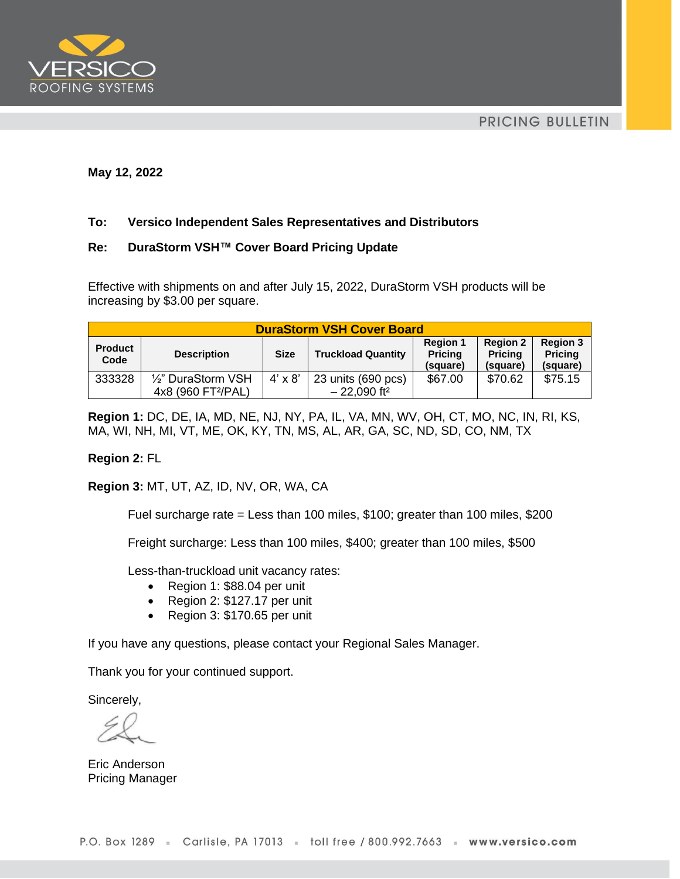



#### **May 12, 2022**

## **To: Versico Independent Sales Representatives and Distributors**

#### **Re: DuraStorm VSH™ Cover Board Pricing Update**

Effective with shipments on and after July 15, 2022, DuraStorm VSH products will be increasing by \$3.00 per square.

| <b>DuraStorm VSH Cover Board</b> |                                                      |                |                                                 |                                               |                                               |                                               |  |
|----------------------------------|------------------------------------------------------|----------------|-------------------------------------------------|-----------------------------------------------|-----------------------------------------------|-----------------------------------------------|--|
| <b>Product</b><br>Code           | <b>Description</b>                                   | <b>Size</b>    | <b>Truckload Quantity</b>                       | <b>Region 1</b><br><b>Pricing</b><br>(square) | <b>Region 2</b><br><b>Pricing</b><br>(square) | <b>Region 3</b><br><b>Pricing</b><br>(square) |  |
| 333328                           | 1/2" DuraStorm VSH<br>4x8 (960 FT <sup>2</sup> /PAL) | $4' \times 8'$ | 23 units (690 pcs)<br>$-22,090$ ft <sup>2</sup> | \$67.00                                       | \$70.62                                       | \$75.15                                       |  |

**Region 1:** DC, DE, IA, MD, NE, NJ, NY, PA, IL, VA, MN, WV, OH, CT, MO, NC, IN, RI, KS, MA, WI, NH, MI, VT, ME, OK, KY, TN, MS, AL, AR, GA, SC, ND, SD, CO, NM, TX

#### **Region 2:** FL

**Region 3:** MT, UT, AZ, ID, NV, OR, WA, CA

Fuel surcharge rate = Less than 100 miles, \$100; greater than 100 miles, \$200

Freight surcharge: Less than 100 miles, \$400; greater than 100 miles, \$500

Less-than-truckload unit vacancy rates:

- Region 1: \$88.04 per unit
- Region 2: \$127.17 per unit
- Region 3: \$170.65 per unit

If you have any questions, please contact your Regional Sales Manager.

Thank you for your continued support.

Sincerely,

Eric Anderson Pricing Manager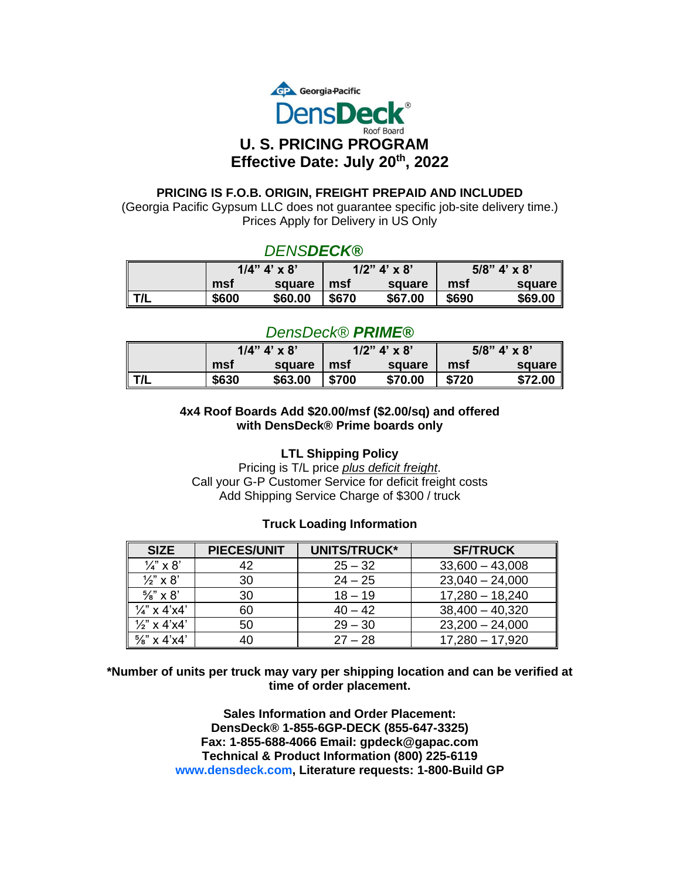

#### **PRICING IS F.O.B. ORIGIN, FREIGHT PREPAID AND INCLUDED**

(Georgia Pacific Gypsum LLC does not guarantee specific job-site delivery time.) Prices Apply for Delivery in US Only

# *DENSDECK®*

|                 |       | $1/4$ " $4' \times 8$ " |       | $1/2$ " 4' x 8' |       | $5/8$ " 4' x 8' |
|-----------------|-------|-------------------------|-------|-----------------|-------|-----------------|
|                 | msf   | square                  | msf   | square          | msf   | square l        |
| $\parallel$ T/L | \$600 | \$60.00                 | \$670 | \$67.00         | \$690 | \$69.00         |

# *DensDeck® PRIME®*

|                 | $1/4$ " 4' x 8' |         | $1/2$ " 4' x 8' |         | $5/8$ " 4' x 8' |           |
|-----------------|-----------------|---------|-----------------|---------|-----------------|-----------|
|                 | mst             | square  | mst             | square  | mst             | square ll |
| $\parallel$ t/l | \$630           | \$63.00 | \$700           | \$70.00 | \$720           | \$72.00   |

#### **4x4 Roof Boards Add \$20.00/msf (\$2.00/sq) and offered with DensDeck® Prime boards only**

## **LTL Shipping Policy**

Pricing is T/L price *plus deficit freight*. Call your G-P Customer Service for deficit freight costs Add Shipping Service Charge of \$300 / truck

## **Truck Loading Information**

| <b>SIZE</b>             | <b>PIECES/UNIT</b> | <b>UNITS/TRUCK*</b> | <b>SF/TRUCK</b>   |
|-------------------------|--------------------|---------------------|-------------------|
| $\frac{1}{4}$ " x 8'    |                    | $25 - 32$           | $33,600 - 43,008$ |
| $\frac{1}{2}$ " x 8'    | 30                 | $24 - 25$           | $23,040 - 24,000$ |
| $\frac{5}{8}$ " x 8'    | 30                 | $18 - 19$           | $17,280 - 18,240$ |
| $\frac{1}{4}$ " x 4'x4' | 60                 | $40 - 42$           | $38,400 - 40,320$ |
| $\frac{1}{2}$ " x 4'x4' | 50                 | $29 - 30$           | $23,200 - 24,000$ |
| $\frac{5}{8}$ " x 4'x4' |                    | $27 - 28$           | $17,280 - 17,920$ |

**\*Number of units per truck may vary per shipping location and can be verified at time of order placement.**

> **Sales Information and Order Placement: DensDeck® 1-855-6GP-DECK (855-647-3325) Fax: 1-855-688-4066 Email: gpdeck@gapac.com Technical & Product Information (800) 225-6119 www.densdeck.com, Literature requests: 1-800-Build GP**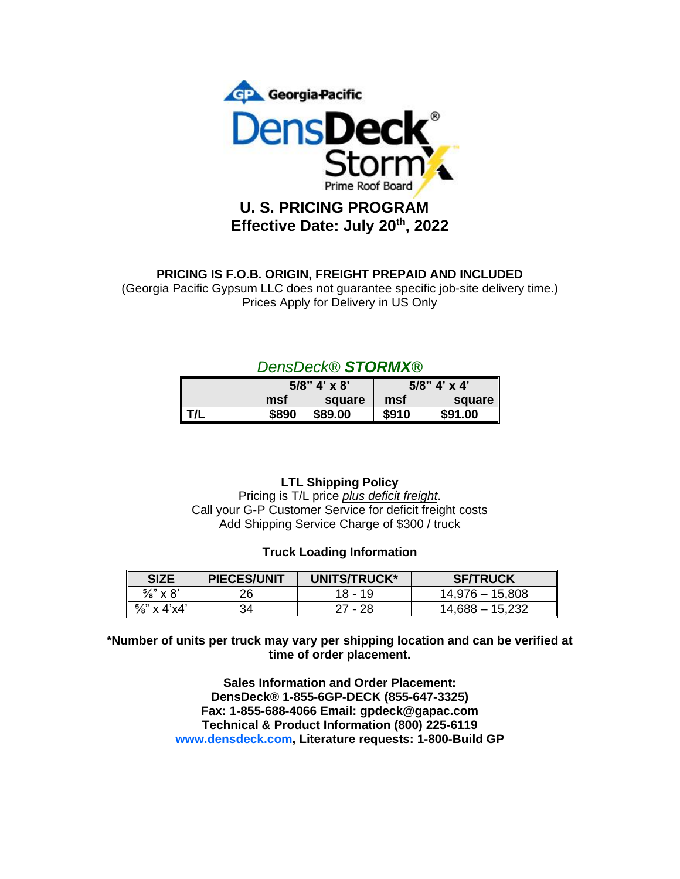

# **Effective Date: July 20th, 2022**

# **PRICING IS F.O.B. ORIGIN, FREIGHT PREPAID AND INCLUDED**

(Georgia Pacific Gypsum LLC does not guarantee specific job-site delivery time.) Prices Apply for Delivery in US Only

# *DensDeck® STORMX®*

|         |       | $5/8$ " 4' x 8' | $5/8$ " 4' x 4' |         |  |
|---------|-------|-----------------|-----------------|---------|--|
|         | msf   | square          | msf             | square  |  |
| $\ T/L$ | \$890 | \$89.00         | \$910           | \$91.00 |  |

## **LTL Shipping Policy**

Pricing is T/L price *plus deficit freight*. Call your G-P Customer Service for deficit freight costs Add Shipping Service Charge of \$300 / truck

## **Truck Loading Information**

| <b>SIZE</b>             | <b>PIECES/UNIT</b> | <b>UNITS/TRUCK*</b> | <b>SF/TRUCK</b>   |
|-------------------------|--------------------|---------------------|-------------------|
| %" x 8'                 | 26                 | 18 - 19             | 14,976 – 15,808   |
| $\frac{5}{8}$ " x 4'x4' | 34                 | $27 - 28$           | $14.688 - 15.232$ |

**\*Number of units per truck may vary per shipping location and can be verified at time of order placement.**

> **Sales Information and Order Placement: DensDeck® 1-855-6GP-DECK (855-647-3325) Fax: 1-855-688-4066 Email: gpdeck@gapac.com Technical & Product Information (800) 225-6119 www.densdeck.com, Literature requests: 1-800-Build GP**